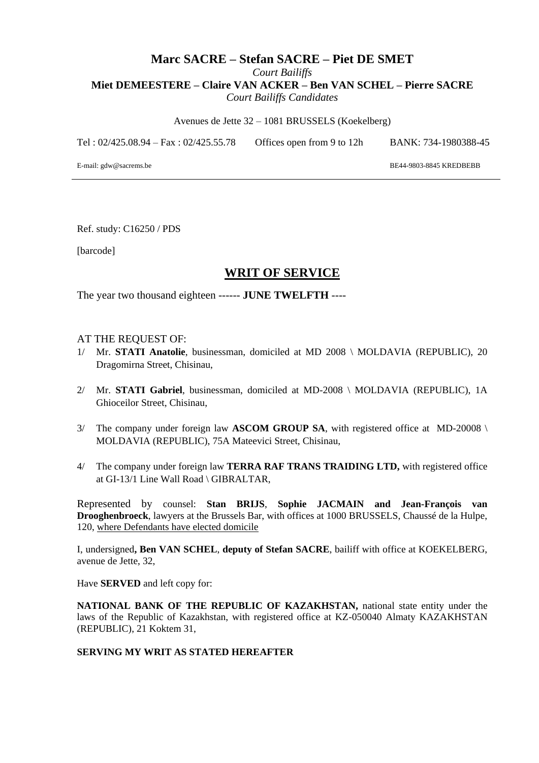## **Marc SACRE – Stefan SACRE – Piet DE SMET** *Court Bailiffs* **Miet DEMEESTERE – Claire VAN ACKER – Ben VAN SCHEL – Pierre SACRE** *Court Bailiffs Candidates*

Avenues de Jette 32 – 1081 BRUSSELS (Koekelberg)

Tel : 02/425.08.94 – Fax : 02/425.55.78 Offices open from 9 to 12h BANK: 734-1980388-45

E-mail: gdw@sacrems.be

BE44-9803-8845 KREDBEBB

Ref. study: C16250 / PDS

[barcode]

# **WRIT OF SERVICE**

The year two thousand eighteen ------ **JUNE TWELFTH** ----

#### AT THE REQUEST OF:

- 1/ Mr. **STATI Anatolie**, businessman, domiciled at MD 2008 \ MOLDAVIA (REPUBLIC), 20 Dragomirna Street, Chisinau,
- 2/ Mr. **STATI Gabriel**, businessman, domiciled at MD-2008 \ MOLDAVIA (REPUBLIC), 1A Ghioceilor Street, Chisinau,
- 3/ The company under foreign law **ASCOM GROUP SA**, with registered office at MD-20008 \ MOLDAVIA (REPUBLIC), 75A Mateevici Street, Chisinau,
- 4/ The company under foreign law **TERRA RAF TRANS TRAIDING LTD,** with registered office at GI-13/1 Line Wall Road \ GIBRALTAR,

Represented by counsel: **Stan BRIJS**, **Sophie JACMAIN and Jean-François van Drooghenbroeck**, lawyers at the Brussels Bar, with offices at 1000 BRUSSELS, Chaussé de la Hulpe, 120, where Defendants have elected domicile

I, undersigned**, Ben VAN SCHEL**, **deputy of Stefan SACRE**, bailiff with office at KOEKELBERG, avenue de Jette, 32,

Have **SERVED** and left copy for:

**NATIONAL BANK OF THE REPUBLIC OF KAZAKHSTAN,** national state entity under the laws of the Republic of Kazakhstan, with registered office at KZ-050040 Almaty KAZAKHSTAN (REPUBLIC), 21 Koktem 31,

#### **SERVING MY WRIT AS STATED HEREAFTER**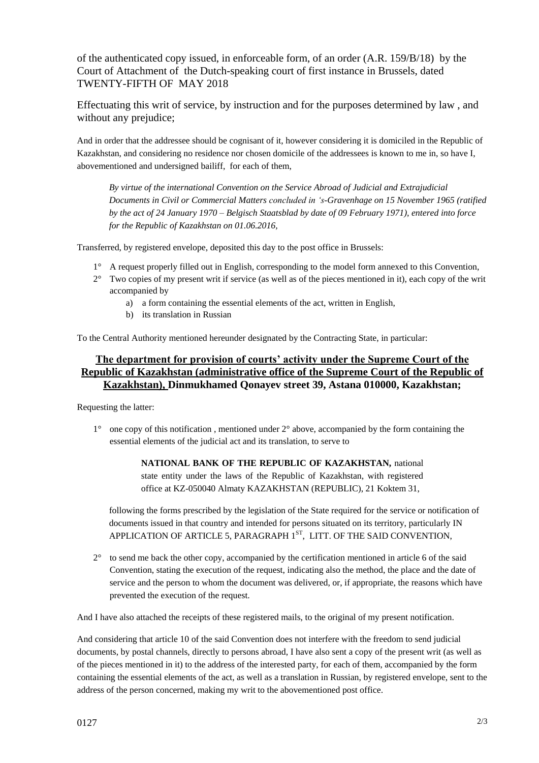of the authenticated copy issued, in enforceable form, of an order (A.R. 159/B/18) by the Court of Attachment of the Dutch-speaking court of first instance in Brussels, dated TWENTY-FIFTH OF MAY 2018

Effectuating this writ of service, by instruction and for the purposes determined by law , and without any prejudice;

And in order that the addressee should be cognisant of it, however considering it is domiciled in the Republic of Kazakhstan, and considering no residence nor chosen domicile of the addressees is known to me in, so have I, abovementioned and undersigned bailiff, for each of them,

*By virtue of the international Convention on the Service Abroad of Judicial and Extrajudicial Documents in Civil or Commercial Matters concluded in 's-Gravenhage on 15 November 1965 (ratified by the act of 24 January 1970 – Belgisch Staatsblad by date of 09 February 1971), entered into force for the Republic of Kazakhstan on 01.06.2016,* 

Transferred, by registered envelope, deposited this day to the post office in Brussels:

- 1° A request properly filled out in English, corresponding to the model form annexed to this Convention,
- 2° Two copies of my present writ if service (as well as of the pieces mentioned in it), each copy of the writ accompanied by
	- a) a form containing the essential elements of the act, written in English,
	- b) its translation in Russian

To the Central Authority mentioned hereunder designated by the Contracting State, in particular:

### **The department for provision of courts' activity under the Supreme Court of the Republic of Kazakhstan (administrative office of the Supreme Court of the Republic of Kazakhstan), Dinmukhamed Qonayev street 39, Astana 010000, Kazakhstan;**

Requesting the latter:

1° one copy of this notification , mentioned under 2° above, accompanied by the form containing the essential elements of the judicial act and its translation, to serve to

> **NATIONAL BANK OF THE REPUBLIC OF KAZAKHSTAN,** national state entity under the laws of the Republic of Kazakhstan, with registered office at KZ-050040 Almaty KAZAKHSTAN (REPUBLIC), 21 Koktem 31,

following the forms prescribed by the legislation of the State required for the service or notification of documents issued in that country and intended for persons situated on its territory, particularly IN APPLICATION OF ARTICLE 5, PARAGRAPH 1<sup>ST</sup>, LITT. OF THE SAID CONVENTION,

2° to send me back the other copy, accompanied by the certification mentioned in article 6 of the said Convention, stating the execution of the request, indicating also the method, the place and the date of service and the person to whom the document was delivered, or, if appropriate, the reasons which have prevented the execution of the request.

And I have also attached the receipts of these registered mails, to the original of my present notification.

And considering that article 10 of the said Convention does not interfere with the freedom to send judicial documents, by postal channels, directly to persons abroad, I have also sent a copy of the present writ (as well as of the pieces mentioned in it) to the address of the interested party, for each of them, accompanied by the form containing the essential elements of the act, as well as a translation in Russian, by registered envelope, sent to the address of the person concerned, making my writ to the abovementioned post office.